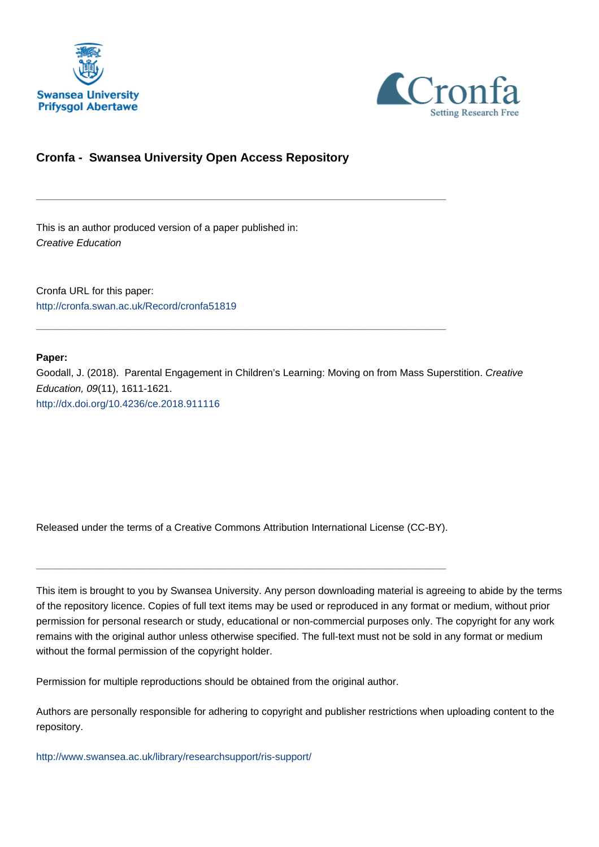



# **Cronfa - Swansea University Open Access Repository**

\_\_\_\_\_\_\_\_\_\_\_\_\_\_\_\_\_\_\_\_\_\_\_\_\_\_\_\_\_\_\_\_\_\_\_\_\_\_\_\_\_\_\_\_\_\_\_\_\_\_\_\_\_\_\_\_\_\_\_\_\_

\_\_\_\_\_\_\_\_\_\_\_\_\_\_\_\_\_\_\_\_\_\_\_\_\_\_\_\_\_\_\_\_\_\_\_\_\_\_\_\_\_\_\_\_\_\_\_\_\_\_\_\_\_\_\_\_\_\_\_\_\_

This is an author produced version of a paper published in: Creative Education

Cronfa URL for this paper: <http://cronfa.swan.ac.uk/Record/cronfa51819>

### **Paper:**

Goodall, J. (2018). Parental Engagement in Children's Learning: Moving on from Mass Superstition. Creative Education, 09(11), 1611-1621. <http://dx.doi.org/10.4236/ce.2018.911116>

Released under the terms of a Creative Commons Attribution International License (CC-BY).

\_\_\_\_\_\_\_\_\_\_\_\_\_\_\_\_\_\_\_\_\_\_\_\_\_\_\_\_\_\_\_\_\_\_\_\_\_\_\_\_\_\_\_\_\_\_\_\_\_\_\_\_\_\_\_\_\_\_\_\_\_

This item is brought to you by Swansea University. Any person downloading material is agreeing to abide by the terms of the repository licence. Copies of full text items may be used or reproduced in any format or medium, without prior permission for personal research or study, educational or non-commercial purposes only. The copyright for any work remains with the original author unless otherwise specified. The full-text must not be sold in any format or medium without the formal permission of the copyright holder.

Permission for multiple reproductions should be obtained from the original author.

Authors are personally responsible for adhering to copyright and publisher restrictions when uploading content to the repository.

[http://www.swansea.ac.uk/library/researchsupport/ris-support/](http://www.swansea.ac.uk/library/researchsupport/ris-support/ )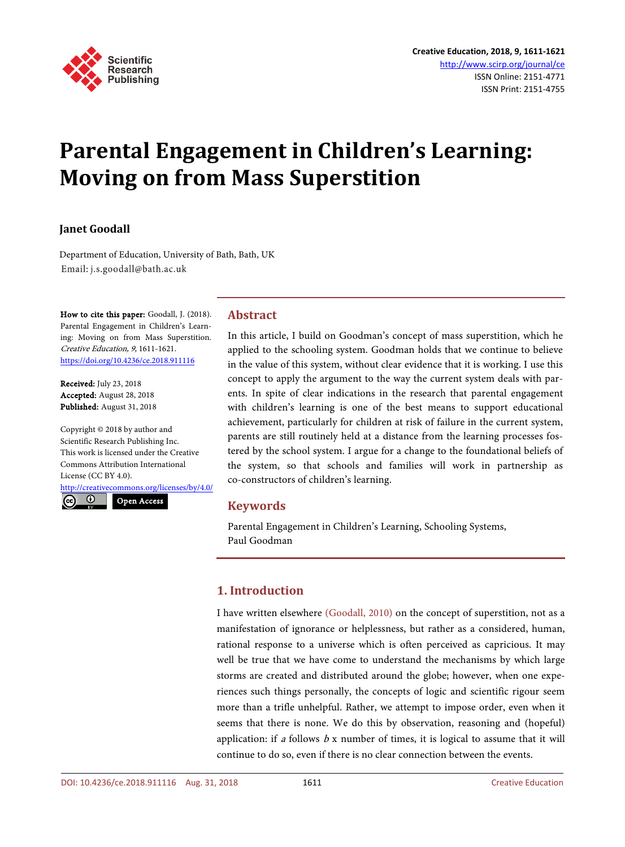

# **Parental Engagement in Children's Learning: Moving on from Mass Superstition**

# **Janet Goodall**

Department of Education, University of Bath, Bath, UK Email: j.s.goodall@bath.ac.uk

How to cite this paper: Goodall, J. (2018). Parental Engagement in Children's Learning: Moving on from Mass Superstition. Creative Education, 9, 1611-1621. https://doi.org/10.4236/ce.2018.911116

Received: July 23, 2018 Accepted: August 28, 2018 Published: August 31, 2018

Copyright © 2018 by author and Scientific Research Publishing Inc. This work is licensed under the Creative Commons Attribution International License (CC BY 4.0).

http://creativecommons.org/licenses/by/4.0/



# **Abstract**

In this article, I build on Goodman's concept of mass superstition, which he applied to the schooling system. Goodman holds that we continue to believe in the value of this system, without clear evidence that it is working. I use this concept to apply the argument to the way the current system deals with parents. In spite of clear indications in the research that parental engagement with children's learning is one of the best means to support educational achievement, particularly for children at risk of failure in the current system, parents are still routinely held at a distance from the learning processes fostered by the school system. I argue for a change to the foundational beliefs of the system, so that schools and families will work in partnership as co-constructors of children's learning.

#### **Keywords**

Parental Engagement in Children's Learning, Schooling Systems, Paul Goodman

# **1. Introduction**

I have written elsewhere (Goodall, 2010) on the concept of superstition, not as a manifestation of ignorance or helplessness, but rather as a considered, human, rational response to a universe which is often perceived as capricious. It may well be true that we have come to understand the mechanisms by which large storms are created and distributed around the globe; however, when one experiences such things personally, the concepts of logic and scientific rigour seem more than a trifle unhelpful. Rather, we attempt to impose order, even when it seems that there is none. We do this by observation, reasoning and (hopeful) application: if a follows  $b \times$  number of times, it is logical to assume that it will continue to do so, even if there is no clear connection between the events.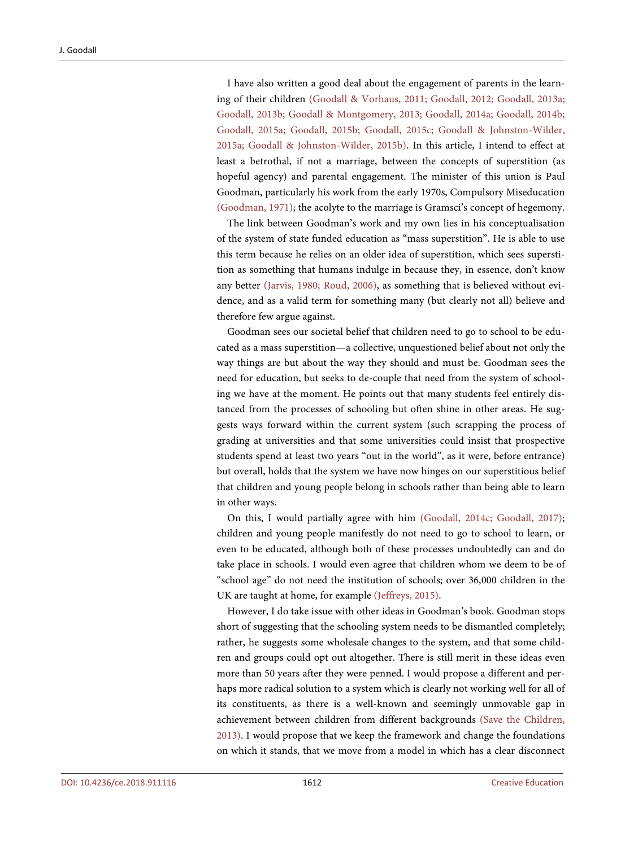I have also written a good deal about the engagement of parents in the learning of their children (Goodall & Vorhaus, 2011; Goodall, 2012; Goodall, 2013a; Goodall, 2013b; Goodall & Montgomery, 2013; Goodall, 2014a; Goodall, 2014b; Goodall, 2015a; Goodall, 2015b; Goodall, 2015c; Goodall & Johnston-Wilder, 2015a; Goodall & Johnston-Wilder, 2015b). In this article, I intend to effect at least a betrothal, if not a marriage, between the concepts of superstition (as hopeful agency) and parental engagement. The minister of this union is Paul Goodman, particularly his work from the early 1970s, Compulsory Miseducation (Goodman, 1971); the acolyte to the marriage is Gramsci's concept of hegemony.

The link between Goodman's work and my own lies in his conceptualisation of the system of state funded education as "mass superstition". He is able to use this term because he relies on an older idea of superstition, which sees superstition as something that humans indulge in because they, in essence, don't know any better (Jarvis, 1980; Roud, 2006), as something that is believed without evidence, and as a valid term for something many (but clearly not all) believe and therefore few argue against.

Goodman sees our societal belief that children need to go to school to be educated as a mass superstition—a collective, unquestioned belief about not only the way things are but about the way they should and must be. Goodman sees the need for education, but seeks to de-couple that need from the system of schooling we have at the moment. He points out that many students feel entirely distanced from the processes of schooling but often shine in other areas. He suggests ways forward within the current system (such scrapping the process of grading at universities and that some universities could insist that prospective students spend at least two years "out in the world", as it were, before entrance) but overall, holds that the system we have now hinges on our superstitious belief that children and young people belong in schools rather than being able to learn in other ways.

On this, I would partially agree with him (Goodall, 2014c; Goodall, 2017); children and young people manifestly do not need to go to school to learn, or even to be educated, although both of these processes undoubtedly can and do take place in schools. I would even agree that children whom we deem to be of "school age" do not need the institution of schools; over 36,000 children in the UK are taught at home, for example (Jeffreys, 2015).

However, I do take issue with other ideas in Goodman's book. Goodman stops short of suggesting that the schooling system needs to be dismantled completely; rather, he suggests some wholesale changes to the system, and that some children and groups could opt out altogether. There is still merit in these ideas even more than 50 years after they were penned. I would propose a different and perhaps more radical solution to a system which is clearly not working well for all of its constituents, as there is a well-known and seemingly unmovable gap in achievement between children from different backgrounds (Save the Children, 2013). I would propose that we keep the framework and change the foundations on which it stands, that we move from a model in which has a clear disconnect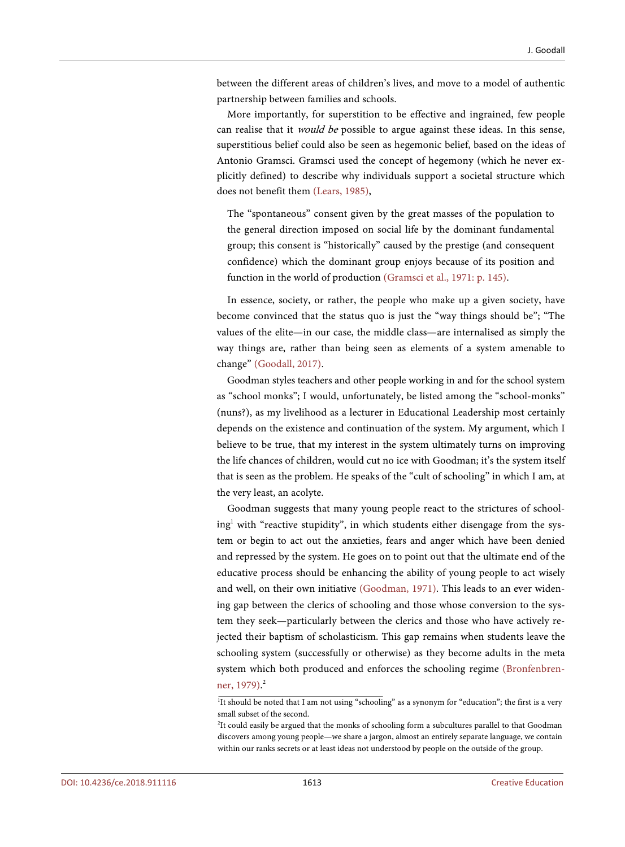between the different areas of children's lives, and move to a model of authentic partnership between families and schools.

More importantly, for superstition to be effective and ingrained, few people can realise that it *would be* possible to argue against these ideas. In this sense, superstitious belief could also be seen as hegemonic belief, based on the ideas of Antonio Gramsci. Gramsci used the concept of hegemony (which he never explicitly defined) to describe why individuals support a societal structure which does not benefit them (Lears, 1985),

The "spontaneous" consent given by the great masses of the population to the general direction imposed on social life by the dominant fundamental group; this consent is "historically" caused by the prestige (and consequent confidence) which the dominant group enjoys because of its position and function in the world of production (Gramsci et al., 1971: p. 145).

In essence, society, or rather, the people who make up a given society, have become convinced that the status quo is just the "way things should be"; "The values of the elite—in our case, the middle class—are internalised as simply the way things are, rather than being seen as elements of a system amenable to change" (Goodall, 2017).

Goodman styles teachers and other people working in and for the school system as "school monks"; I would, unfortunately, be listed among the "school-monks" (nuns?), as my livelihood as a lecturer in Educational Leadership most certainly depends on the existence and continuation of the system. My argument, which I believe to be true, that my interest in the system ultimately turns on improving the life chances of children, would cut no ice with Goodman; it's the system itself that is seen as the problem. He speaks of the "cult of schooling" in which I am, at the very least, an acolyte.

Goodman suggests that many young people react to the strictures of school $ing<sup>1</sup>$  with "reactive stupidity", in which students either disengage from the system or begin to act out the anxieties, fears and anger which have been denied and repressed by the system. He goes on to point out that the ultimate end of the educative process should be enhancing the ability of young people to act wisely and well, on their own initiative (Goodman, 1971). This leads to an ever widening gap between the clerics of schooling and those whose conversion to the system they seek—particularly between the clerics and those who have actively rejected their baptism of scholasticism. This gap remains when students leave the schooling system (successfully or otherwise) as they become adults in the meta system which both produced and enforces the schooling regime (Bronfenbrenner, 1979). 2

<sup>&</sup>lt;sup>1</sup>It should be noted that I am not using "schooling" as a synonym for "education"; the first is a very small subset of the second.

<sup>&</sup>lt;sup>2</sup>It could easily be argued that the monks of schooling form a subcultures parallel to that Goodman discovers among young people—we share a jargon, almost an entirely separate language, we contain within our ranks secrets or at least ideas not understood by people on the outside of the group.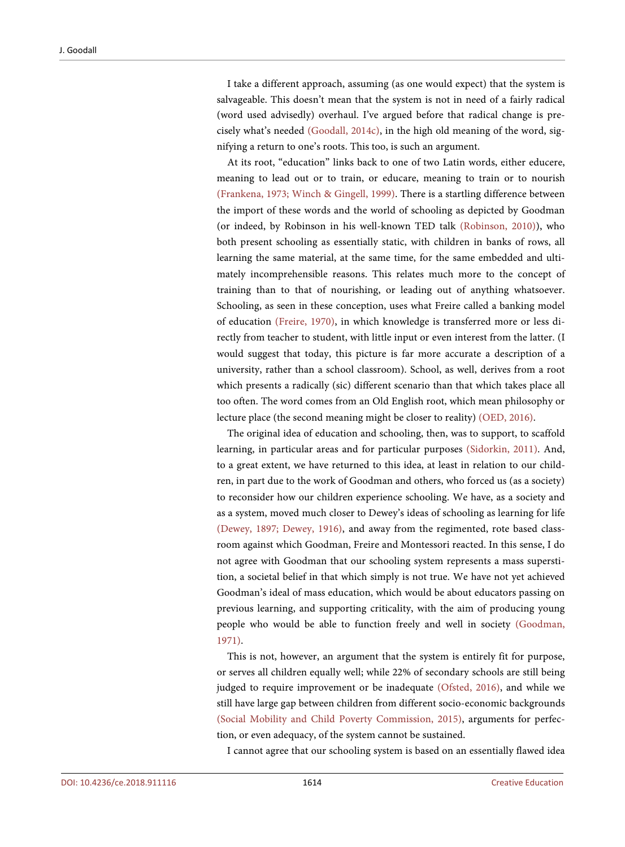I take a different approach, assuming (as one would expect) that the system is salvageable. This doesn't mean that the system is not in need of a fairly radical (word used advisedly) overhaul. I've argued before that radical change is precisely what's needed (Goodall, 2014c), in the high old meaning of the word, signifying a return to one's roots. This too, is such an argument.

At its root, "education" links back to one of two Latin words, either educere, meaning to lead out or to train, or educare, meaning to train or to nourish (Frankena, 1973; Winch & Gingell, 1999). There is a startling difference between the import of these words and the world of schooling as depicted by Goodman (or indeed, by Robinson in his well-known TED talk (Robinson, 2010)), who both present schooling as essentially static, with children in banks of rows, all learning the same material, at the same time, for the same embedded and ultimately incomprehensible reasons. This relates much more to the concept of training than to that of nourishing, or leading out of anything whatsoever. Schooling, as seen in these conception, uses what Freire called a banking model of education (Freire, 1970), in which knowledge is transferred more or less directly from teacher to student, with little input or even interest from the latter. (I would suggest that today, this picture is far more accurate a description of a university, rather than a school classroom). School, as well, derives from a root which presents a radically (sic) different scenario than that which takes place all too often. The word comes from an Old English root, which mean philosophy or lecture place (the second meaning might be closer to reality) (OED, 2016).

The original idea of education and schooling, then, was to support, to scaffold learning, in particular areas and for particular purposes (Sidorkin, 2011). And, to a great extent, we have returned to this idea, at least in relation to our children, in part due to the work of Goodman and others, who forced us (as a society) to reconsider how our children experience schooling. We have, as a society and as a system, moved much closer to Dewey's ideas of schooling as learning for life (Dewey, 1897; Dewey, 1916), and away from the regimented, rote based classroom against which Goodman, Freire and Montessori reacted. In this sense, I do not agree with Goodman that our schooling system represents a mass superstition, a societal belief in that which simply is not true. We have not yet achieved Goodman's ideal of mass education, which would be about educators passing on previous learning, and supporting criticality, with the aim of producing young people who would be able to function freely and well in society (Goodman, 1971).

This is not, however, an argument that the system is entirely fit for purpose, or serves all children equally well; while 22% of secondary schools are still being judged to require improvement or be inadequate (Ofsted, 2016), and while we still have large gap between children from different socio-economic backgrounds (Social Mobility and Child Poverty Commission, 2015), arguments for perfection, or even adequacy, of the system cannot be sustained.

I cannot agree that our schooling system is based on an essentially flawed idea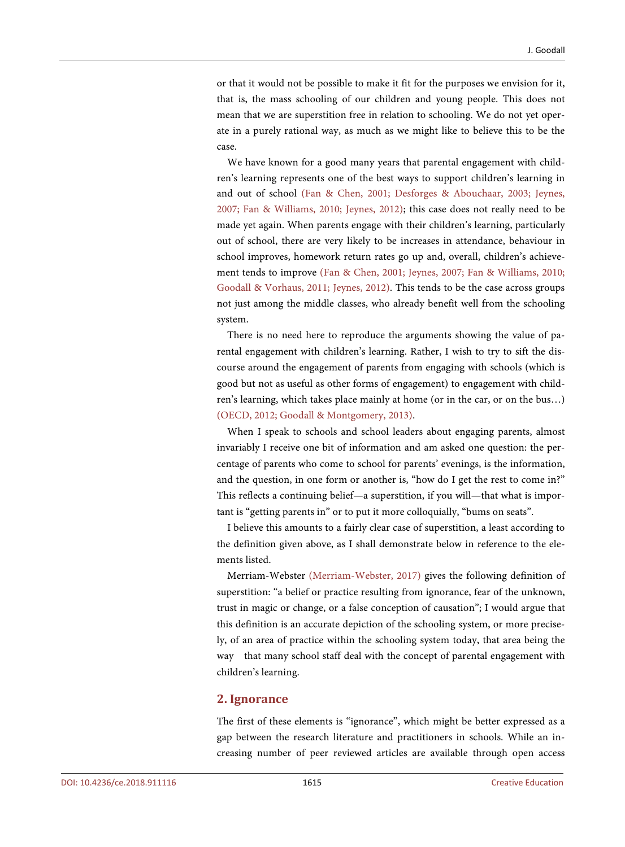or that it would not be possible to make it fit for the purposes we envision for it, that is, the mass schooling of our children and young people. This does not mean that we are superstition free in relation to schooling. We do not yet operate in a purely rational way, as much as we might like to believe this to be the case.

We have known for a good many years that parental engagement with children's learning represents one of the best ways to support children's learning in and out of school (Fan & Chen, 2001; Desforges & Abouchaar, 2003; Jeynes, 2007; Fan & Williams, 2010; Jeynes, 2012); this case does not really need to be made yet again. When parents engage with their children's learning, particularly out of school, there are very likely to be increases in attendance, behaviour in school improves, homework return rates go up and, overall, children's achievement tends to improve (Fan & Chen, 2001; Jeynes, 2007; Fan & Williams, 2010; Goodall & Vorhaus, 2011; Jeynes, 2012). This tends to be the case across groups not just among the middle classes, who already benefit well from the schooling system.

There is no need here to reproduce the arguments showing the value of parental engagement with children's learning. Rather, I wish to try to sift the discourse around the engagement of parents from engaging with schools (which is good but not as useful as other forms of engagement) to engagement with children's learning, which takes place mainly at home (or in the car, or on the bus…) (OECD, 2012; Goodall & Montgomery, 2013).

When I speak to schools and school leaders about engaging parents, almost invariably I receive one bit of information and am asked one question: the percentage of parents who come to school for parents' evenings, is the information, and the question, in one form or another is, "how do I get the rest to come in?" This reflects a continuing belief—a superstition, if you will—that what is important is "getting parents in" or to put it more colloquially, "bums on seats".

I believe this amounts to a fairly clear case of superstition, a least according to the definition given above, as I shall demonstrate below in reference to the elements listed.

Merriam-Webster (Merriam-Webster, 2017) gives the following definition of superstition: "a belief or practice resulting from ignorance, fear of the unknown, trust in magic or change, or a false conception of causation"; I would argue that this definition is an accurate depiction of the schooling system, or more precisely, of an area of practice within the schooling system today, that area being the way that many school staff deal with the concept of parental engagement with children's learning.

#### **2. Ignorance**

The first of these elements is "ignorance", which might be better expressed as a gap between the research literature and practitioners in schools. While an increasing number of peer reviewed articles are available through open access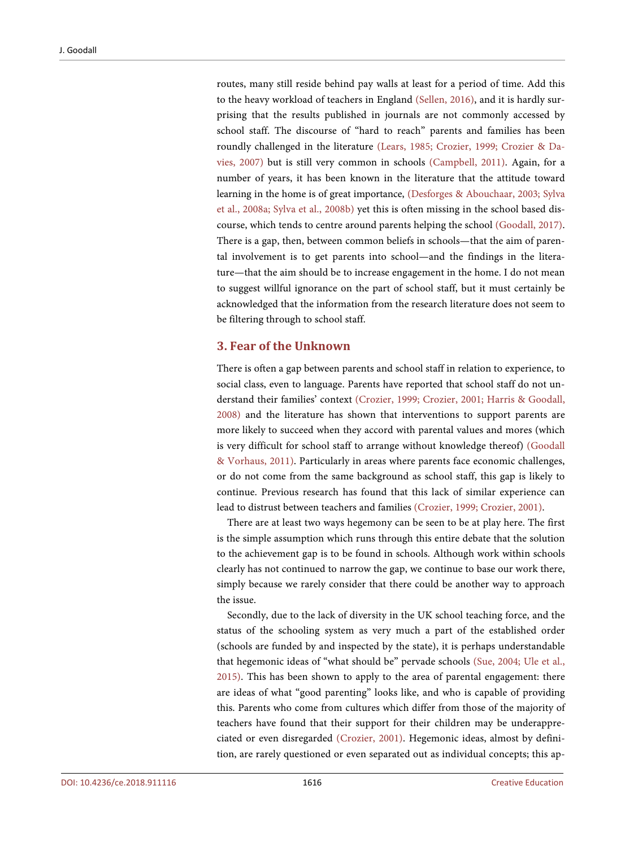routes, many still reside behind pay walls at least for a period of time. Add this to the heavy workload of teachers in England (Sellen, 2016), and it is hardly surprising that the results published in journals are not commonly accessed by school staff. The discourse of "hard to reach" parents and families has been roundly challenged in the literature (Lears, 1985; Crozier, 1999; Crozier & Davies, 2007) but is still very common in schools (Campbell, 2011). Again, for a number of years, it has been known in the literature that the attitude toward learning in the home is of great importance, (Desforges & Abouchaar, 2003; Sylva et al., 2008a; Sylva et al., 2008b) yet this is often missing in the school based discourse, which tends to centre around parents helping the school (Goodall, 2017). There is a gap, then, between common beliefs in schools—that the aim of parental involvement is to get parents into school—and the findings in the literature—that the aim should be to increase engagement in the home. I do not mean to suggest willful ignorance on the part of school staff, but it must certainly be acknowledged that the information from the research literature does not seem to be filtering through to school staff.

#### **3. Fear of the Unknown**

There is often a gap between parents and school staff in relation to experience, to social class, even to language. Parents have reported that school staff do not understand their families' context (Crozier, 1999; Crozier, 2001; Harris & Goodall, 2008) and the literature has shown that interventions to support parents are more likely to succeed when they accord with parental values and mores (which is very difficult for school staff to arrange without knowledge thereof) (Goodall & Vorhaus, 2011). Particularly in areas where parents face economic challenges, or do not come from the same background as school staff, this gap is likely to continue. Previous research has found that this lack of similar experience can lead to distrust between teachers and families (Crozier, 1999; Crozier, 2001).

There are at least two ways hegemony can be seen to be at play here. The first is the simple assumption which runs through this entire debate that the solution to the achievement gap is to be found in schools. Although work within schools clearly has not continued to narrow the gap, we continue to base our work there, simply because we rarely consider that there could be another way to approach the issue.

Secondly, due to the lack of diversity in the UK school teaching force, and the status of the schooling system as very much a part of the established order (schools are funded by and inspected by the state), it is perhaps understandable that hegemonic ideas of "what should be" pervade schools (Sue, 2004; Ule et al., 2015). This has been shown to apply to the area of parental engagement: there are ideas of what "good parenting" looks like, and who is capable of providing this. Parents who come from cultures which differ from those of the majority of teachers have found that their support for their children may be underappreciated or even disregarded (Crozier, 2001). Hegemonic ideas, almost by definition, are rarely questioned or even separated out as individual concepts; this ap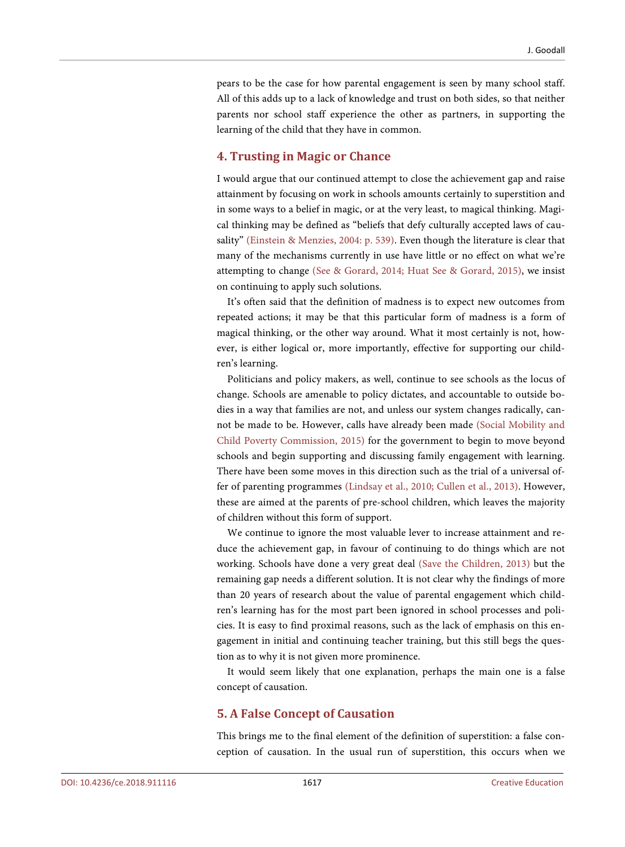pears to be the case for how parental engagement is seen by many school staff. All of this adds up to a lack of knowledge and trust on both sides, so that neither parents nor school staff experience the other as partners, in supporting the learning of the child that they have in common.

#### **4. Trusting in Magic or Chance**

I would argue that our continued attempt to close the achievement gap and raise attainment by focusing on work in schools amounts certainly to superstition and in some ways to a belief in magic, or at the very least, to magical thinking. Magical thinking may be defined as "beliefs that defy culturally accepted laws of causality" (Einstein & Menzies, 2004: p. 539). Even though the literature is clear that many of the mechanisms currently in use have little or no effect on what we're attempting to change (See & Gorard, 2014; Huat See & Gorard, 2015), we insist on continuing to apply such solutions.

It's often said that the definition of madness is to expect new outcomes from repeated actions; it may be that this particular form of madness is a form of magical thinking, or the other way around. What it most certainly is not, however, is either logical or, more importantly, effective for supporting our children's learning.

Politicians and policy makers, as well, continue to see schools as the locus of change. Schools are amenable to policy dictates, and accountable to outside bodies in a way that families are not, and unless our system changes radically, cannot be made to be. However, calls have already been made (Social Mobility and Child Poverty Commission, 2015) for the government to begin to move beyond schools and begin supporting and discussing family engagement with learning. There have been some moves in this direction such as the trial of a universal offer of parenting programmes (Lindsay et al., 2010; Cullen et al., 2013). However, these are aimed at the parents of pre-school children, which leaves the majority of children without this form of support.

We continue to ignore the most valuable lever to increase attainment and reduce the achievement gap, in favour of continuing to do things which are not working. Schools have done a very great deal (Save the Children, 2013) but the remaining gap needs a different solution. It is not clear why the findings of more than 20 years of research about the value of parental engagement which children's learning has for the most part been ignored in school processes and policies. It is easy to find proximal reasons, such as the lack of emphasis on this engagement in initial and continuing teacher training, but this still begs the question as to why it is not given more prominence.

It would seem likely that one explanation, perhaps the main one is a false concept of causation.

#### **5. A False Concept of Causation**

This brings me to the final element of the definition of superstition: a false conception of causation. In the usual run of superstition, this occurs when we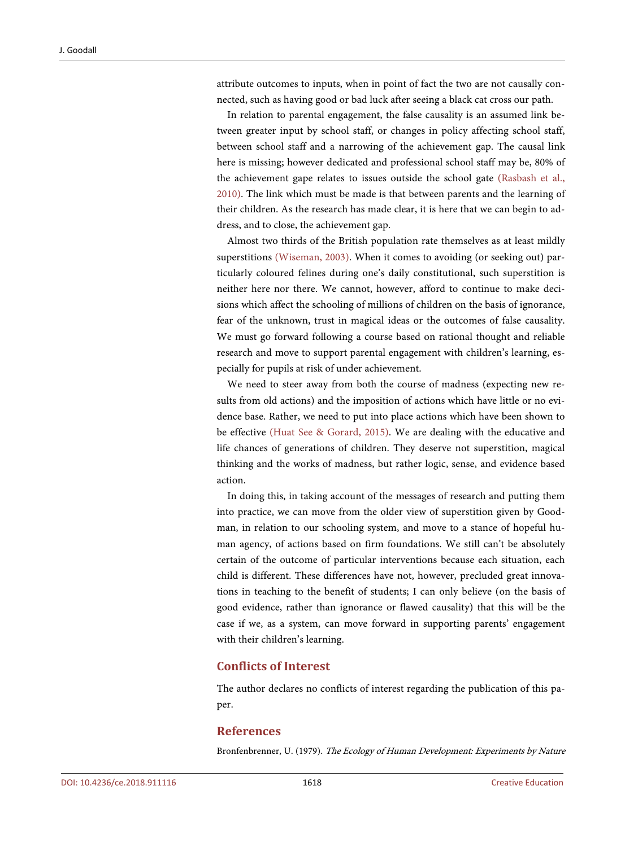attribute outcomes to inputs, when in point of fact the two are not causally connected, such as having good or bad luck after seeing a black cat cross our path.

In relation to parental engagement, the false causality is an assumed link between greater input by school staff, or changes in policy affecting school staff, between school staff and a narrowing of the achievement gap. The causal link here is missing; however dedicated and professional school staff may be, 80% of the achievement gape relates to issues outside the school gate (Rasbash et al., 2010). The link which must be made is that between parents and the learning of their children. As the research has made clear, it is here that we can begin to address, and to close, the achievement gap.

Almost two thirds of the British population rate themselves as at least mildly superstitions (Wiseman, 2003). When it comes to avoiding (or seeking out) particularly coloured felines during one's daily constitutional, such superstition is neither here nor there. We cannot, however, afford to continue to make decisions which affect the schooling of millions of children on the basis of ignorance, fear of the unknown, trust in magical ideas or the outcomes of false causality. We must go forward following a course based on rational thought and reliable research and move to support parental engagement with children's learning, especially for pupils at risk of under achievement.

We need to steer away from both the course of madness (expecting new results from old actions) and the imposition of actions which have little or no evidence base. Rather, we need to put into place actions which have been shown to be effective (Huat See & Gorard, 2015). We are dealing with the educative and life chances of generations of children. They deserve not superstition, magical thinking and the works of madness, but rather logic, sense, and evidence based action.

In doing this, in taking account of the messages of research and putting them into practice, we can move from the older view of superstition given by Goodman, in relation to our schooling system, and move to a stance of hopeful human agency, of actions based on firm foundations. We still can't be absolutely certain of the outcome of particular interventions because each situation, each child is different. These differences have not, however, precluded great innovations in teaching to the benefit of students; I can only believe (on the basis of good evidence, rather than ignorance or flawed causality) that this will be the case if we, as a system, can move forward in supporting parents' engagement with their children's learning.

#### **Conflicts of Interest**

The author declares no conflicts of interest regarding the publication of this paper.

#### **References**

Bronfenbrenner, U. (1979). The Ecology of Human Development: Experiments by Nature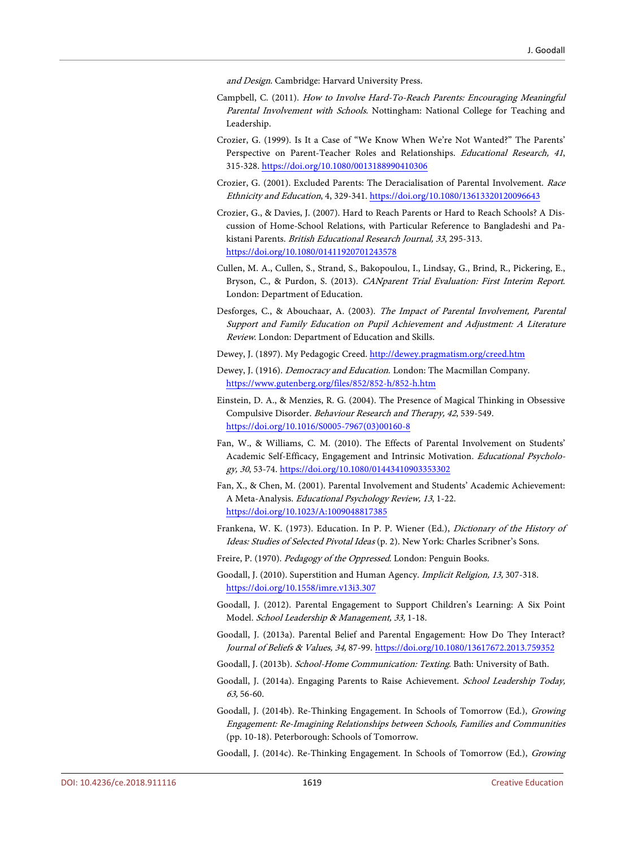and Design. Cambridge: Harvard University Press.

- Campbell, C. (2011). How to Involve Hard-To-Reach Parents: Encouraging Meaningful Parental Involvement with Schools. Nottingham: National College for Teaching and Leadership.
- Crozier, G. (1999). Is It a Case of "We Know When We're Not Wanted?" The Parents' Perspective on Parent-Teacher Roles and Relationships. Educational Research, 41, 315-328. https://doi.org/10.1080/0013188990410306
- Crozier, G. (2001). Excluded Parents: The Deracialisation of Parental Involvement. Race Ethnicity and Education, 4, 329-341. https://doi.org/10.1080/13613320120096643
- Crozier, G., & Davies, J. (2007). Hard to Reach Parents or Hard to Reach Schools? A Discussion of Home-School Relations, with Particular Reference to Bangladeshi and Pakistani Parents. British Educational Research Journal, <sup>33</sup>, 295-313. https://doi.org/10.1080/01411920701243578
- Cullen, M. A., Cullen, S., Strand, S., Bakopoulou, I., Lindsay, G., Brind, R., Pickering, E., Bryson, C., & Purdon, S. (2013). CANparent Trial Evaluation: First Interim Report. London: Department of Education.
- Desforges, C., & Abouchaar, A. (2003). The Impact of Parental Involvement, Parental Support and Family Education on Pupil Achievement and Adjustment: A Literature Review. London: Department of Education and Skills.
- Dewey, J. (1897). My Pedagogic Creed. http://dewey.pragmatism.org/creed.htm
- Dewey, J. (1916). Democracy and Education. London: The Macmillan Company. https://www.gutenberg.org/files/852/852-h/852-h.htm
- Einstein, D. A., & Menzies, R. G. (2004). The Presence of Magical Thinking in Obsessive Compulsive Disorder. Behaviour Research and Therapy, 42, 539-549. https://doi.org/10.1016/S0005-7967(03)00160-8
- Fan, W., & Williams, C. M. (2010). The Effects of Parental Involvement on Students' Academic Self-Efficacy, Engagement and Intrinsic Motivation. Educational Psychology, <sup>30</sup>, 53-74. https://doi.org/10.1080/01443410903353302
- Fan, X., & Chen, M. (2001). Parental Involvement and Students' Academic Achievement: A Meta-Analysis. Educational Psychology Review, 13, 1-22. https://doi.org/10.1023/A:1009048817385
- Frankena, W. K. (1973). Education. In P. P. Wiener (Ed.), Dictionary of the History of Ideas: Studies of Selected Pivotal Ideas (p. 2). New York: Charles Scribner's Sons.
- Freire, P. (1970). Pedagogy of the Oppressed. London: Penguin Books.
- Goodall, J. (2010). Superstition and Human Agency. Implicit Religion, 13, 307-318. https://doi.org/10.1558/imre.v13i3.307
- Goodall, J. (2012). Parental Engagement to Support Children's Learning: A Six Point Model. School Leadership & Management, 33, 1-18.
- Goodall, J. (2013a). Parental Belief and Parental Engagement: How Do They Interact? Journal of Beliefs & Values, 34, 87-99. https://doi.org/10.1080/13617672.2013.759352
- Goodall, J. (2013b). School-Home Communication: Texting. Bath: University of Bath.
- Goodall, J. (2014a). Engaging Parents to Raise Achievement. School Leadership Today, 63, 56-60.
- Goodall, J. (2014b). Re-Thinking Engagement. In Schools of Tomorrow (Ed.), Growing Engagement: Re-Imagining Relationships between Schools, Families and Communities (pp. 10-18). Peterborough: Schools of Tomorrow.
- Goodall, J. (2014c). Re-Thinking Engagement. In Schools of Tomorrow (Ed.), Growing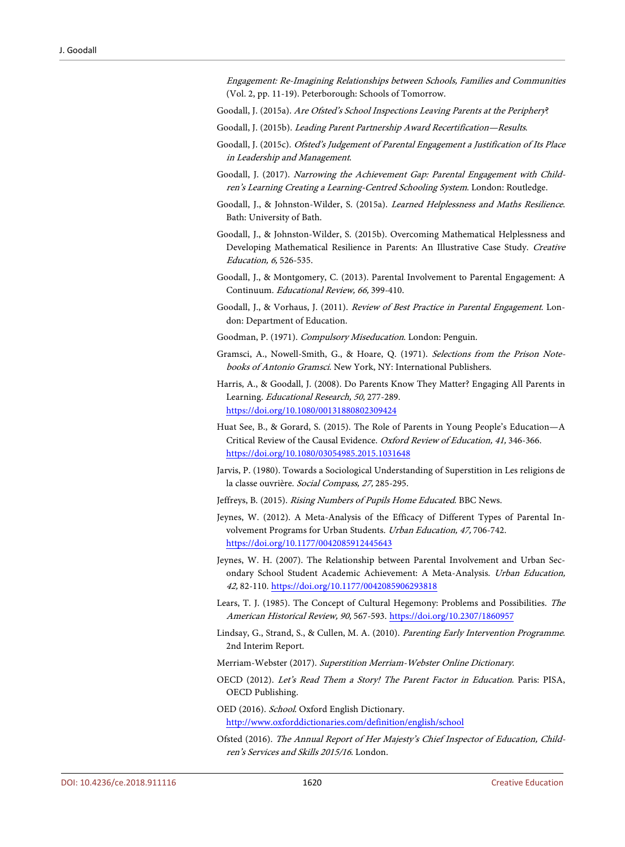Engagement: Re-Imagining Relationships between Schools, Families and Communities (Vol. 2, pp. 11-19). Peterborough: Schools of Tomorrow.

Goodall, J. (2015a). Are Ofsted's School Inspections Leaving Parents at the Periphery?

- Goodall, J. (2015b). Leading Parent Partnership Award Recertification—Results.
- Goodall, J. (2015c). Ofsted's Judgement of Parental Engagement a Justification of Its Place in Leadership and Management.
- Goodall, J. (2017). Narrowing the Achievement Gap: Parental Engagement with Children's Learning Creating a Learning-Centred Schooling System. London: Routledge.
- Goodall, J., & Johnston-Wilder, S. (2015a). Learned Helplessness and Maths Resilience. Bath: University of Bath.
- Goodall, J., & Johnston-Wilder, S. (2015b). Overcoming Mathematical Helplessness and Developing Mathematical Resilience in Parents: An Illustrative Case Study. Creative Education, 6, 526-535.
- Goodall, J., & Montgomery, C. (2013). Parental Involvement to Parental Engagement: A Continuum. Educational Review, 66, 399-410.
- Goodall, J., & Vorhaus, J. (2011). Review of Best Practice in Parental Engagement. London: Department of Education.
- Goodman, P. (1971). Compulsory Miseducation. London: Penguin.
- Gramsci, A., Nowell-Smith, G., & Hoare, Q. (1971). Selections from the Prison Notebooks of Antonio Gramsci. New York, NY: International Publishers.
- Harris, A., & Goodall, J. (2008). Do Parents Know They Matter? Engaging All Parents in Learning. Educational Research, 50, 277-289. https://doi.org/10.1080/00131880802309424
- Huat See, B., & Gorard, S. (2015). The Role of Parents in Young People's Education—A Critical Review of the Causal Evidence. Oxford Review of Education, 41, 346-366. https://doi.org/10.1080/03054985.2015.1031648
- Jarvis, P. (1980). Towards a Sociological Understanding of Superstition in Les religions de la classe ouvrière. Social Compass, 27, 285-295.
- Jeffreys, B. (2015). Rising Numbers of Pupils Home Educated. BBC News.
- Jeynes, W. (2012). A Meta-Analysis of the Efficacy of Different Types of Parental Involvement Programs for Urban Students. Urban Education, 47, 706-742. https://doi.org/10.1177/0042085912445643
- Jeynes, W. H. (2007). The Relationship between Parental Involvement and Urban Secondary School Student Academic Achievement: A Meta-Analysis. Urban Education, 42, 82-110. https://doi.org/10.1177/0042085906293818
- Lears, T. J. (1985). The Concept of Cultural Hegemony: Problems and Possibilities. The American Historical Review, 90, 567-593. https://doi.org/10.2307/1860957
- Lindsay, G., Strand, S., & Cullen, M. A. (2010). Parenting Early Intervention Programme. 2nd Interim Report.

Merriam-Webster (2017). Superstition Merriam-Webster Online Dictionary.

- OECD (2012). Let's Read Them a Story! The Parent Factor in Education. Paris: PISA, OECD Publishing.
- OED (2016). School. Oxford English Dictionary. http://www.oxforddictionaries.com/definition/english/school
- Ofsted (2016). The Annual Report of Her Majesty's Chief Inspector of Education, Children's Services and Skills 2015/16. London.